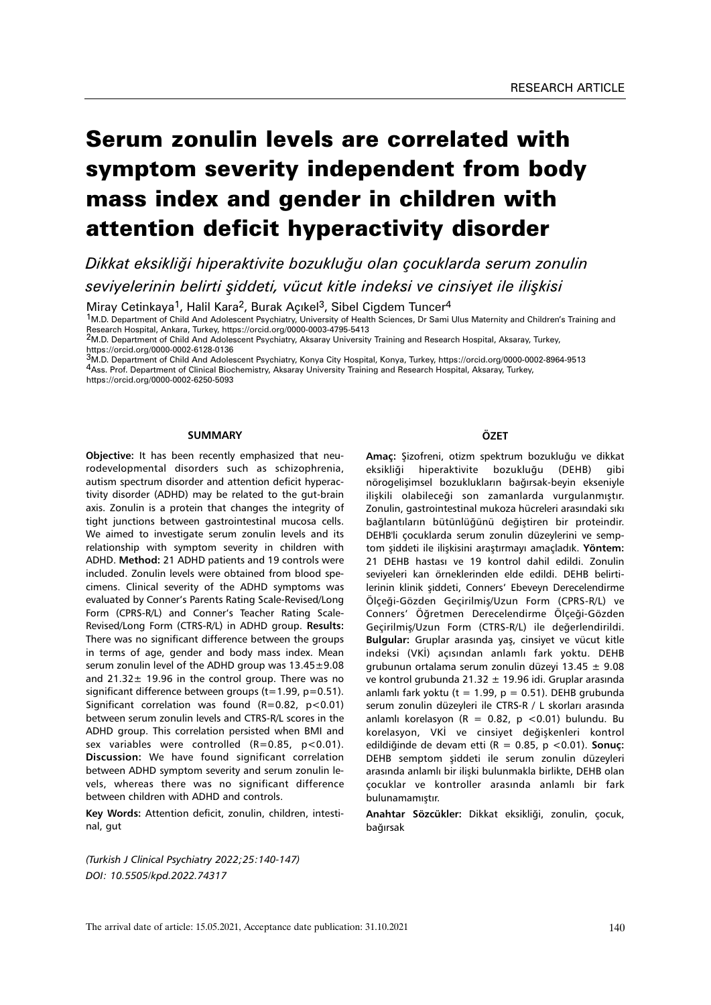# Serum zonulin levels are correlated with symptom severity independent from body mass index and gender in children with attention deficit hyperactivity disorder

*Dikkat eksikliği hiperaktivite bozukluğu olan çocuklarda serum zonulin seviyelerinin belirti şiddeti, vücut kitle indeksi ve cinsiyet ile ilişkisi*

Miray Cetinkaya<sup>1</sup>, Halil Kara<sup>2</sup>, Burak Açıkel<sup>3</sup>, Sibel Cigdem Tuncer<sup>4</sup>

1M.D. Department of Child And Adolescent Psychiatry, University of Health Sciences, Dr Sami Ulus Maternity and Children's Training and

Research Hospital, Ankara, Turkey, https://orcid.org/0000-0003-4795-5413<br><sup>2</sup>M.D. Department of Child And Adolescent Psychiatry, Aksaray University Training and Research Hospital, Aksaray, Turkey, https://orcid.org/0000-0002-6128-0136

3M.D. Department of Child And Adolescent Psychiatry, Konya City Hospital, Konya, Turkey, https://orcid.org/0000-0002-8964-9513 4Ass. Prof. Department of Clinical Biochemistry, Aksaray University Training and Research Hospital, Aksaray, Turkey, https://orcid.org/0000-0002-6250-5093

#### **SUMMARY**

**Objective:** It has been recently emphasized that neurodevelopmental disorders such as schizophrenia, autism spectrum disorder and attention deficit hyperactivity disorder (ADHD) may be related to the gut-brain axis. Zonulin is a protein that changes the integrity of tight junctions between gastrointestinal mucosa cells. We aimed to investigate serum zonulin levels and its relationship with symptom severity in children with ADHD. **Method:** 21 ADHD patients and 19 controls were included. Zonulin levels were obtained from blood specimens. Clinical severity of the ADHD symptoms was evaluated by Conner's Parents Rating Scale-Revised/Long Form (CPRS-R/L) and Conner's Teacher Rating Scale-Revised/Long Form (CTRS-R/L) in ADHD group. **Results:** There was no significant difference between the groups in terms of age, gender and body mass index. Mean serum zonulin level of the ADHD group was 13.45±9.08 and  $21.32 \pm 19.96$  in the control group. There was no significant difference between groups ( $t=1.99$ ,  $p=0.51$ ). Significant correlation was found  $(R=0.82, p<0.01)$ between serum zonulin levels and CTRS-R/L scores in the ADHD group. This correlation persisted when BMI and sex variables were controlled  $(R=0.85, p<0.01)$ . **Discussion:** We have found significant correlation between ADHD symptom severity and serum zonulin levels, whereas there was no significant difference between children with ADHD and controls.

**Key Words:** Attention deficit, zonulin, children, intestinal, gut

## **ÖZET**

**Amaç:** Şizofreni, otizm spektrum bozukluğu ve dikkat eksikliği hiperaktivite bozukluğu (DEHB) gibi nörogelişimsel bozuklukların bağırsak-beyin ekseniyle ilişkili olabileceği son zamanlarda vurgulanmıştır. Zonulin, gastrointestinal mukoza hücreleri arasındaki sıkı bağlantıların bütünlüğünü değiştiren bir proteindir. DEHB'li çocuklarda serum zonulin düzeylerini ve semptom şiddeti ile ilişkisini araştırmayı amaçladık. **Yöntem:**  21 DEHB hastası ve 19 kontrol dahil edildi. Zonulin seviyeleri kan örneklerinden elde edildi. DEHB belirtilerinin klinik şiddeti, Conners' Ebeveyn Derecelendirme Ölçeği-Gözden Geçirilmiş/Uzun Form (CPRS-R/L) ve Conners' Öğretmen Derecelendirme Ölçeği-Gözden Geçirilmiş/Uzun Form (CTRS-R/L) ile değerlendirildi. **Bulgular:** Gruplar arasında yaş, cinsiyet ve vücut kitle indeksi (VKİ) açısından anlamlı fark yoktu. DEHB grubunun ortalama serum zonulin düzeyi 13.45  $\pm$  9.08 ve kontrol grubunda 21.32  $\pm$  19.96 idi. Gruplar arasında anlamlı fark yoktu (t = 1.99,  $p = 0.51$ ). DEHB grubunda serum zonulin düzeyleri ile CTRS-R / L skorları arasında anlamlı korelasyon (R = 0.82, p < 0.01) bulundu. Bu korelasyon, VKİ ve cinsiyet değişkenleri kontrol edildiğinde de devam etti (R = 0.85, p <0.01). **Sonuç:**  DEHB semptom şiddeti ile serum zonulin düzeyleri arasında anlamlı bir ilişki bulunmakla birlikte, DEHB olan çocuklar ve kontroller arasında anlamlı bir fark bulunamamıştır.

**Anahtar Sözcükler:** Dikkat eksikliği, zonulin, çocuk, bağırsak

*(Turkish J Clinical Psychiatry 2022;25:140-147) DOI: 10.5505/kpd.2022.74317*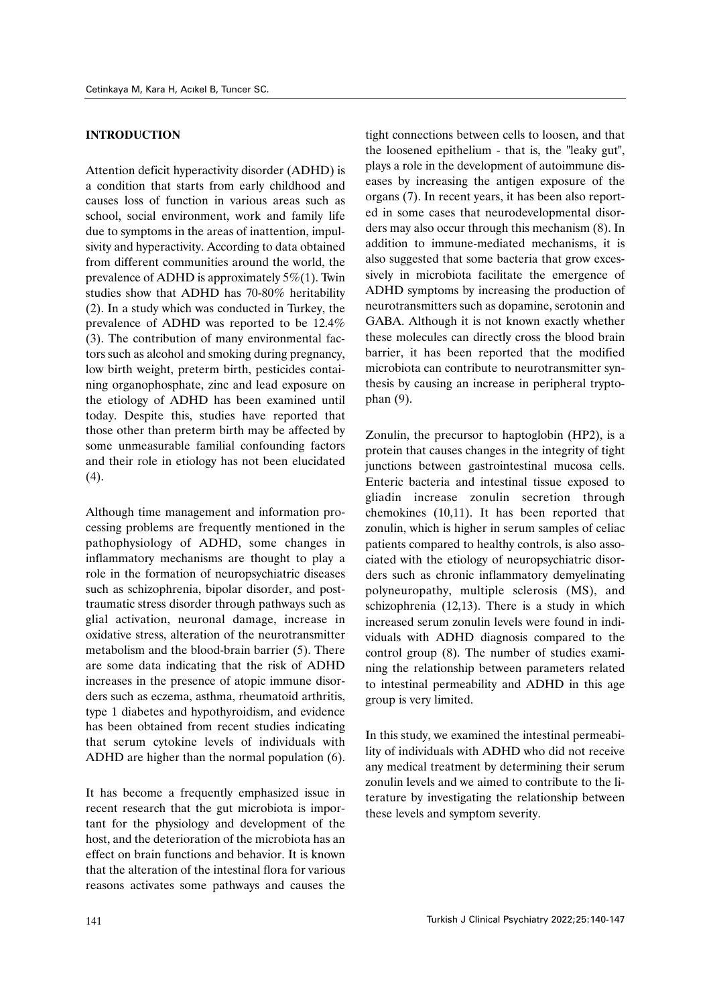## **INTRODUCTION**

Attention deficit hyperactivity disorder (ADHD) is a condition that starts from early childhood and causes loss of function in various areas such as school, social environment, work and family life due to symptoms in the areas of inattention, impulsivity and hyperactivity. According to data obtained from different communities around the world, the prevalence of ADHD is approximately  $5\%/1$ . Twin studies show that ADHD has 70-80% heritability (2). In a study which was conducted in Turkey, the prevalence of ADHD was reported to be 12.4% (3). The contribution of many environmental factors such as alcohol and smoking during pregnancy, low birth weight, preterm birth, pesticides containing organophosphate, zinc and lead exposure on the etiology of ADHD has been examined until today. Despite this, studies have reported that those other than preterm birth may be affected by some unmeasurable familial confounding factors and their role in etiology has not been elucidated (4).

Although time management and information processing problems are frequently mentioned in the pathophysiology of ADHD, some changes in inflammatory mechanisms are thought to play a role in the formation of neuropsychiatric diseases such as schizophrenia, bipolar disorder, and posttraumatic stress disorder through pathways such as glial activation, neuronal damage, increase in oxidative stress, alteration of the neurotransmitter metabolism and the blood-brain barrier (5). There are some data indicating that the risk of ADHD increases in the presence of atopic immune disorders such as eczema, asthma, rheumatoid arthritis, type 1 diabetes and hypothyroidism, and evidence has been obtained from recent studies indicating that serum cytokine levels of individuals with ADHD are higher than the normal population (6).

It has become a frequently emphasized issue in recent research that the gut microbiota is important for the physiology and development of the host, and the deterioration of the microbiota has an effect on brain functions and behavior. It is known that the alteration of the intestinal flora for various reasons activates some pathways and causes the tight connections between cells to loosen, and that the loosened epithelium - that is, the "leaky gut", plays a role in the development of autoimmune diseases by increasing the antigen exposure of the organs (7). In recent years, it has been also reported in some cases that neurodevelopmental disorders may also occur through this mechanism (8). In addition to immune-mediated mechanisms, it is also suggested that some bacteria that grow excessively in microbiota facilitate the emergence of ADHD symptoms by increasing the production of neurotransmitters such as dopamine, serotonin and GABA. Although it is not known exactly whether these molecules can directly cross the blood brain barrier, it has been reported that the modified microbiota can contribute to neurotransmitter synthesis by causing an increase in peripheral tryptophan (9).

Zonulin, the precursor to haptoglobin (HP2), is a protein that causes changes in the integrity of tight junctions between gastrointestinal mucosa cells. Enteric bacteria and intestinal tissue exposed to gliadin increase zonulin secretion through chemokines (10,11). It has been reported that zonulin, which is higher in serum samples of celiac patients compared to healthy controls, is also associated with the etiology of neuropsychiatric disorders such as chronic inflammatory demyelinating polyneuropathy, multiple sclerosis (MS), and schizophrenia (12,13). There is a study in which increased serum zonulin levels were found in individuals with ADHD diagnosis compared to the control group (8). The number of studies examining the relationship between parameters related to intestinal permeability and ADHD in this age group is very limited.

In this study, we examined the intestinal permeability of individuals with ADHD who did not receive any medical treatment by determining their serum zonulin levels and we aimed to contribute to the literature by investigating the relationship between these levels and symptom severity.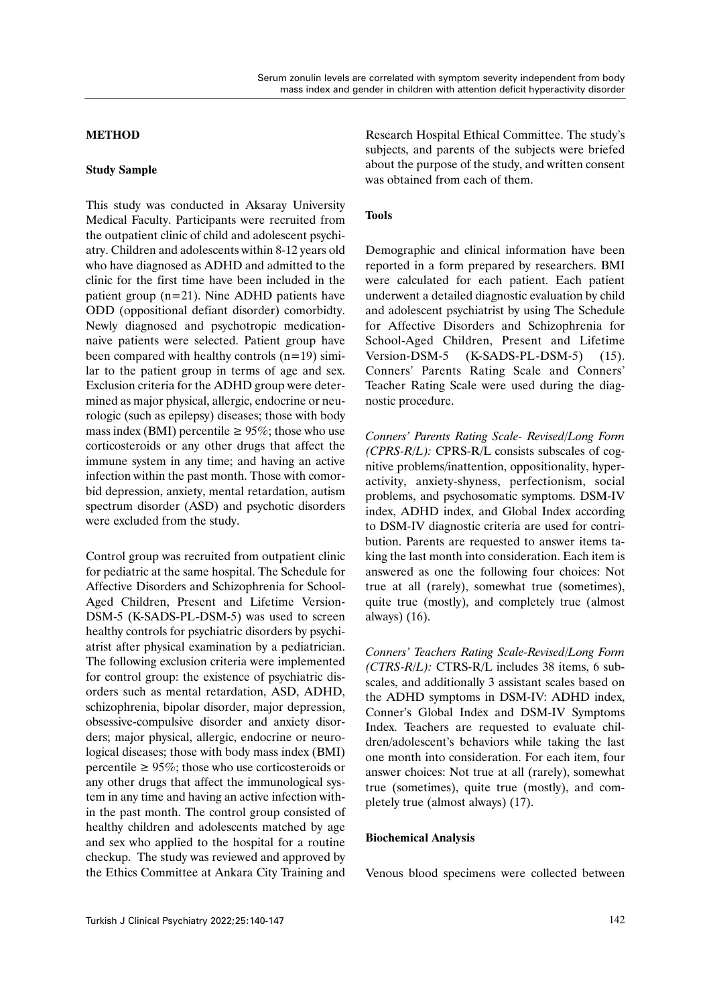## **METHOD**

## **Study Sample**

This study was conducted in Aksaray University Medical Faculty. Participants were recruited from the outpatient clinic of child and adolescent psychiatry. Children and adolescents within 8-12 years old who have diagnosed as ADHD and admitted to the clinic for the first time have been included in the patient group (n=21). Nine ADHD patients have ODD (oppositional defiant disorder) comorbidty. Newly diagnosed and psychotropic medicationnaive patients were selected. Patient group have been compared with healthy controls  $(n=19)$  similar to the patient group in terms of age and sex. Exclusion criteria for the ADHD group were determined as major physical, allergic, endocrine or neurologic (such as epilepsy) diseases; those with body mass index (BMI) percentile  $\geq 95\%$ ; those who use corticosteroids or any other drugs that affect the immune system in any time; and having an active infection within the past month. Those with comorbid depression, anxiety, mental retardation, autism spectrum disorder (ASD) and psychotic disorders were excluded from the study.

Control group was recruited from outpatient clinic for pediatric at the same hospital. The Schedule for Affective Disorders and Schizophrenia for School-Aged Children, Present and Lifetime Version-DSM-5 (K-SADS-PL-DSM-5) was used to screen healthy controls for psychiatric disorders by psychiatrist after physical examination by a pediatrician. The following exclusion criteria were implemented for control group: the existence of psychiatric disorders such as mental retardation, ASD, ADHD, schizophrenia, bipolar disorder, major depression, obsessive-compulsive disorder and anxiety disorders; major physical, allergic, endocrine or neurological diseases; those with body mass index (BMI) percentile  $\geq 95\%$ ; those who use corticosteroids or any other drugs that affect the immunological system in any time and having an active infection within the past month. The control group consisted of healthy children and adolescents matched by age and sex who applied to the hospital for a routine checkup. The study was reviewed and approved by the Ethics Committee at Ankara City Training and

Research Hospital Ethical Committee. The study's subjects, and parents of the subjects were briefed about the purpose of the study, and written consent was obtained from each of them.

## **Tools**

Demographic and clinical information have been reported in a form prepared by researchers. BMI were calculated for each patient. Each patient underwent a detailed diagnostic evaluation by child and adolescent psychiatrist by using The Schedule for Affective Disorders and Schizophrenia for School-Aged Children, Present and Lifetime Version-DSM-5 (K-SADS-PL-DSM-5) (15). Conners' Parents Rating Scale and Conners' Teacher Rating Scale were used during the diagnostic procedure.

*Conners' Parents Rating Scale- Revised/Long Form (CPRS-R/L):* CPRS-R/L consists subscales of cognitive problems/inattention, oppositionality, hyperactivity, anxiety-shyness, perfectionism, social problems, and psychosomatic symptoms. DSM-IV index, ADHD index, and Global Index according to DSM-IV diagnostic criteria are used for contribution. Parents are requested to answer items taking the last month into consideration. Each item is answered as one the following four choices: Not true at all (rarely), somewhat true (sometimes), quite true (mostly), and completely true (almost always) (16).

*Conners' Teachers Rating Scale-Revised/Long Form (CTRS-R/L):* CTRS-R/L includes 38 items, 6 subscales, and additionally 3 assistant scales based on the ADHD symptoms in DSM-IV: ADHD index, Conner's Global Index and DSM-IV Symptoms Index. Teachers are requested to evaluate children/adolescent's behaviors while taking the last one month into consideration. For each item, four answer choices: Not true at all (rarely), somewhat true (sometimes), quite true (mostly), and completely true (almost always) (17).

### **Biochemical Analysis**

Venous blood specimens were collected between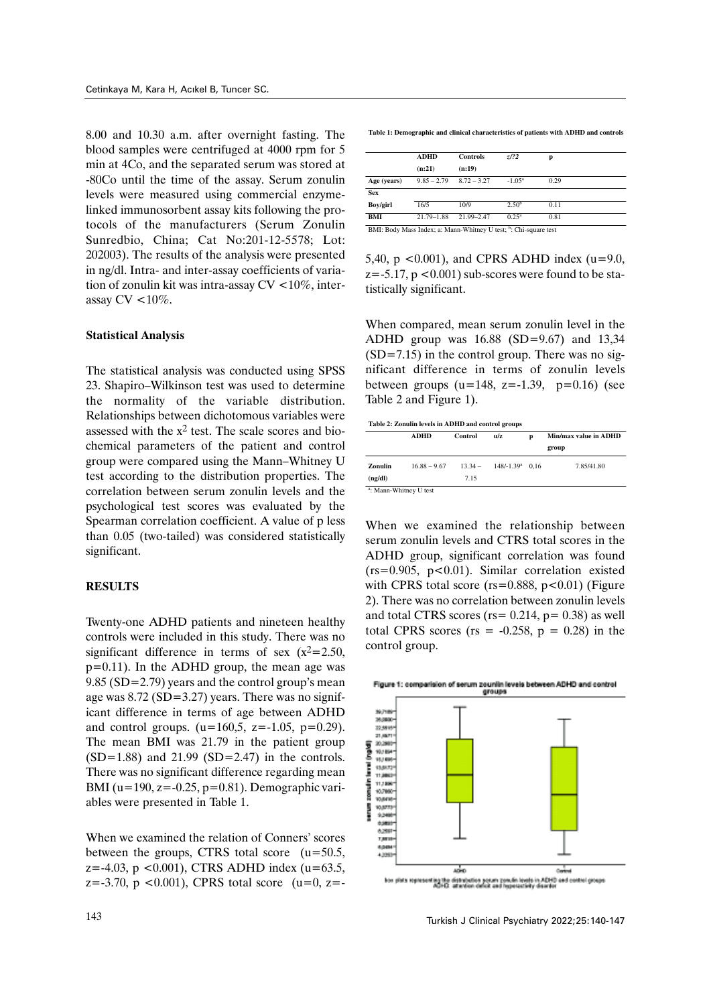8.00 and 10.30 a.m. after overnight fasting. The blood samples were centrifuged at 4000 rpm for 5 min at 4Co, and the separated serum was stored at -80Co until the time of the assay. Serum zonulin levels were measured using commercial enzymelinked immunosorbent assay kits following the protocols of the manufacturers (Serum Zonulin Sunredbio, China; Cat No:201-12-5578; Lot: 202003). The results of the analysis were presented in ng/dl. Intra- and inter-assay coefficients of variation of zonulin kit was intra-assay CV <10%, interassay CV <10%.

### **Statistical Analysis**

The statistical analysis was conducted using SPSS 23. Shapiro–Wilkinson test was used to determine the normality of the variable distribution. Relationships between dichotomous variables were assessed with the  $x^2$  test. The scale scores and biochemical parameters of the patient and control group were compared using the Mann–Whitney U test according to the distribution properties. The correlation between serum zonulin levels and the psychological test scores was evaluated by the Spearman correlation coefficient. A value of p less than 0.05 (two-tailed) was considered statistically significant.

## **RESULTS**

Twenty-one ADHD patients and nineteen healthy controls were included in this study. There was no significant difference in terms of sex  $(x^2=2.50,$ p=0.11). In the ADHD group, the mean age was 9.85 (SD=2.79) years and the control group's mean age was 8.72 (SD=3.27) years. There was no significant difference in terms of age between ADHD and control groups.  $(u=160,5, z=-1.05, p=0.29)$ . The mean BMI was 21.79 in the patient group  $(SD=1.88)$  and 21.99  $(SD=2.47)$  in the controls. There was no significant difference regarding mean BMI ( $u=190$ ,  $z=-0.25$ ,  $p=0.81$ ). Demographic variables were presented in Table 1.

When we examined the relation of Conners' scores between the groups, CTRS total score (u=50.5,  $z = -4.03$ ,  $p < 0.001$ ), CTRS ADHD index (u=63.5,  $z=-3.70$ , p < 0.001), CPRS total score (u=0, z=- **Table 1: Demographic and clinical characteristics of patients with ADHD and controls**

|             | ADHD           | <b>Controls</b>                                                              | Z/22              | р    |
|-------------|----------------|------------------------------------------------------------------------------|-------------------|------|
|             | (n:21)         | (n:19)                                                                       |                   |      |
| Age (years) | $9.85 - 2.79$  | $8.72 - 3.27$                                                                | $-1.05^{\rm a}$   | 0.29 |
| <b>Sex</b>  |                |                                                                              |                   |      |
| Boy/girl    | 16/5           | 10/9                                                                         | 2.50 <sup>b</sup> | 0.11 |
| BMI         | $21.79 - 1.88$ | $21.99 - 2.47$                                                               | $0.25^{\rm a}$    | 0.81 |
|             |                | BMI: Body Mass Index; a: Mann-Whitney U test; <sup>b</sup> : Chi-square test |                   |      |

5,40,  $p \le 0.001$ ), and CPRS ADHD index (u=9.0,  $z=-5.17$ ,  $p < 0.001$ ) sub-scores were found to be statistically significant.

When compared, mean serum zonulin level in the ADHD group was 16.88 (SD=9.67) and 13,34  $(SD=7.15)$  in the control group. There was no significant difference in terms of zonulin levels between groups  $(u=148, z=-1.39, p=0.16)$  (see Table 2 and Figure 1).

| Table 2: Zonulin levels in ADHD and control groups |  |
|----------------------------------------------------|--|
|                                                    |  |

|                                    | <b>ADHD</b>    | Control   | n/z                | D | Min/max value in ADHD |
|------------------------------------|----------------|-----------|--------------------|---|-----------------------|
|                                    |                |           |                    |   | group                 |
| Zonulin                            | $16.88 - 9.67$ | $13.34 -$ | $148/-1.39^a$ 0.16 |   | 7.85/41.80            |
| (ng/dl)                            |                | 7.15      |                    |   |                       |
| <sup>a</sup> : Mann-Whitney U test |                |           |                    |   |                       |

When we examined the relationship between serum zonulin levels and CTRS total scores in the ADHD group, significant correlation was found  $(rs=0.905, p<0.01)$ . Similar correlation existed with CPRS total score ( $rs=0.888$ ,  $p<0.01$ ) (Figure 2). There was no correlation between zonulin levels and total CTRS scores ( $rs = 0.214$ ,  $p = 0.38$ ) as well total CPRS scores ( $rs = -0.258$ ,  $p = 0.28$ ) in the control group.

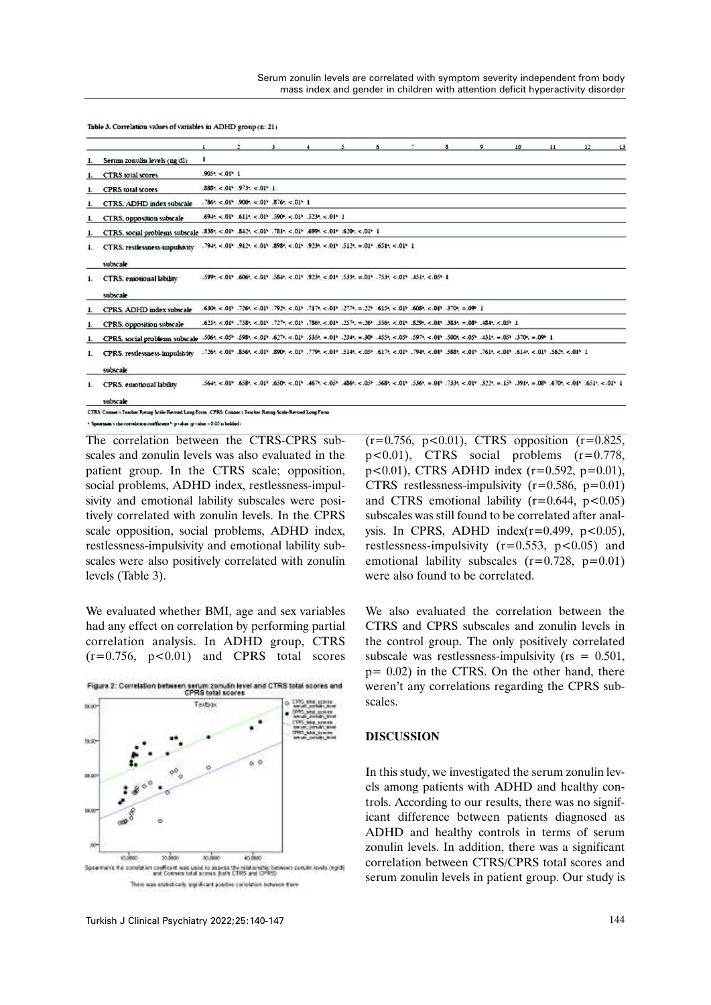|    |                                                                                              |                              |                             |                                                                                                        | $\frac{1}{2}$ | $\mathbf{S}$ | $6 -$                                                                                                                                                                                            | $\mathcal{F}$                                                                                                                                                                                                                  | 8 | $\bullet$ | 10 <sup>10</sup> | 11 | $12 \t13$ |
|----|----------------------------------------------------------------------------------------------|------------------------------|-----------------------------|--------------------------------------------------------------------------------------------------------|---------------|--------------|--------------------------------------------------------------------------------------------------------------------------------------------------------------------------------------------------|--------------------------------------------------------------------------------------------------------------------------------------------------------------------------------------------------------------------------------|---|-----------|------------------|----|-----------|
|    | Serum zonulin levels (ng/dl)                                                                 |                              |                             |                                                                                                        |               |              |                                                                                                                                                                                                  |                                                                                                                                                                                                                                |   |           |                  |    |           |
| 1. | CTRS total scores                                                                            | $905$ : <. 01 <sup>6</sup> 1 |                             |                                                                                                        |               |              |                                                                                                                                                                                                  |                                                                                                                                                                                                                                |   |           |                  |    |           |
|    | <b>CPRS</b> total scores                                                                     |                              | $.885<.016$ . 9734, < 013 1 |                                                                                                        |               |              |                                                                                                                                                                                                  |                                                                                                                                                                                                                                |   |           |                  |    |           |
|    | CTRS. ADHD index subscale                                                                    |                              |                             | $.786$ *, <.01° .900°, <.01° .876°, <.01° 1                                                            |               |              |                                                                                                                                                                                                  |                                                                                                                                                                                                                                |   |           |                  |    |           |
| L. | CTR5, opposition subscale                                                                    |                              |                             | $.694$ , <.01 <sup>5</sup> .611, <.01 <sup>5</sup> .590°, <.01 <sup>5</sup> .523°, <.01 <sup>5</sup> 1 |               |              |                                                                                                                                                                                                  |                                                                                                                                                                                                                                |   |           |                  |    |           |
| ı. | CTRS, social problems subscale .838, <.019 .842, <.019 .781, <.019 .699, <.019 .629, <.019 1 |                              |                             |                                                                                                        |               |              |                                                                                                                                                                                                  |                                                                                                                                                                                                                                |   |           |                  |    |           |
| ı. | CTRS. restlessness-impulsivity<br>subscale                                                   |                              |                             |                                                                                                        |               |              | $.794$ , $< 01^{\circ}$ , $912^{\circ}$ , $< 01^{\circ}$ , $898^{\circ}$ , $< 01^{\circ}$ , $923^{\circ}$ , $< 01^{\circ}$ , $512^{\circ}$ , $= 01^{\circ}$ , $651^{\circ}$ , $< 01^{\circ}$ , 1 |                                                                                                                                                                                                                                |   |           |                  |    |           |
| 1. | CTRS, emotional lability<br>subscale                                                         |                              |                             |                                                                                                        |               |              |                                                                                                                                                                                                  | $.599$ , <.01', -506', <.01', -584', <.01', -923', <.01', -533', =.01', -753', <.01', -451', <.05', 1                                                                                                                          |   |           |                  |    |           |
|    | CPRS. ADHD index subscale                                                                    |                              |                             |                                                                                                        |               |              |                                                                                                                                                                                                  | 1 409 = 4075, 410 > 4084, 410 > 4518, 4279, = 4774, 401 > 4717, 4084, 4019, 4077, 4084, 4096, 40068,                                                                                                                           |   |           |                  |    |           |
|    | CPRS, opposition subscale                                                                    |                              |                             |                                                                                                        |               |              |                                                                                                                                                                                                  | $.625$ , <.01. 758, <.01. 727, <.01. 786, <.01. 757, =.26. 556, <.01. 829, <.01. 768, 768, 484, <.02. 1                                                                                                                        |   |           |                  |    |           |
| ı. | CPRS, social problems subscale                                                               |                              |                             |                                                                                                        |               |              |                                                                                                                                                                                                  | $.506$ , <.05° $.598$ , <.01° $.627$ , <.01° $.535$ , =.01° $.234$ , $.809$ , $.555$ , <.05° $.597$ , <.01° $.500$ , <.05° $.431$ , =.05° $.370$ , =.09° $\pm$                                                                 |   |           |                  |    |           |
| L. | CPRS. restlessness-impulsivity<br>subscale                                                   |                              |                             |                                                                                                        |               |              |                                                                                                                                                                                                  | 1 (10.> .562, (10.> .443, (10.> .157, (10.> .198, (10.> .149, <10.> .514, (20.> .544, (20.> .444, (10.> .444, (10.> .444, 10.> .444, 10.> .444, 10.> .444, 10.> .444, (10.> .444, 10.> .444, (10.> .444, 10.> .444, 10.> .444, |   |           |                  |    |           |
| ı. | CPRS, emotional lability<br>subscale                                                         |                              |                             |                                                                                                        |               |              |                                                                                                                                                                                                  | 1 (0.5 · 165), -070, -080, -080, -080, -091, -080, -091, -080, -091, -080, -091, -080, -091, -080, -091, -080, -091, -080, -091, -081, -091, -091, -091, -091, -091, -091, -091, -091, -091, -091, -091, -091, -091, -091, -09 |   |           |                  |    |           |

Table 3. Correlation values of variables in ADHD group (n: 21)

an's sho correlation coefficient \*: paralue (paralue < 0.05 is bolded).

The correlation between the CTRS-CPRS subscales and zonulin levels was also evaluated in the patient group. In the CTRS scale; opposition, social problems, ADHD index, restlessness-impulsivity and emotional lability subscales were positively correlated with zonulin levels. In the CPRS scale opposition, social problems, ADHD index, restlessness-impulsivity and emotional lability subscales were also positively correlated with zonulin levels (Table 3).

We evaluated whether BMI, age and sex variables had any effect on correlation by performing partial correlation analysis. In ADHD group, CTRS  $(r=0.756, p<0.01)$  and CPRS total scores





 $(r=0.756, p<0.01)$ , CTRS opposition  $(r=0.825,$ p<0.01), CTRS social problems (r=0.778, p<0.01), CTRS ADHD index (r=0.592, p=0.01), CTRS restlessness-impulsivity  $(r=0.586, p=0.01)$ and CTRS emotional lability  $(r=0.644, p<0.05)$ subscales was still found to be correlated after analysis. In CPRS, ADHD index( $r=0.499$ ,  $p<0.05$ ), restlessness-impulsivity  $(r=0.553, p<0.05)$  and emotional lability subscales  $(r=0.728, p=0.01)$ were also found to be correlated.

We also evaluated the correlation between the CTRS and CPRS subscales and zonulin levels in the control group. The only positively correlated subscale was restlessness-impulsivity ( $rs = 0.501$ , p= 0.02) in the CTRS. On the other hand, there weren't any correlations regarding the CPRS subscales.

## **DISCUSSION**

In this study, we investigated the serum zonulin levels among patients with ADHD and healthy controls. According to our results, there was no significant difference between patients diagnosed as ADHD and healthy controls in terms of serum zonulin levels. In addition, there was a significant correlation between CTRS/CPRS total scores and serum zonulin levels in patient group. Our study is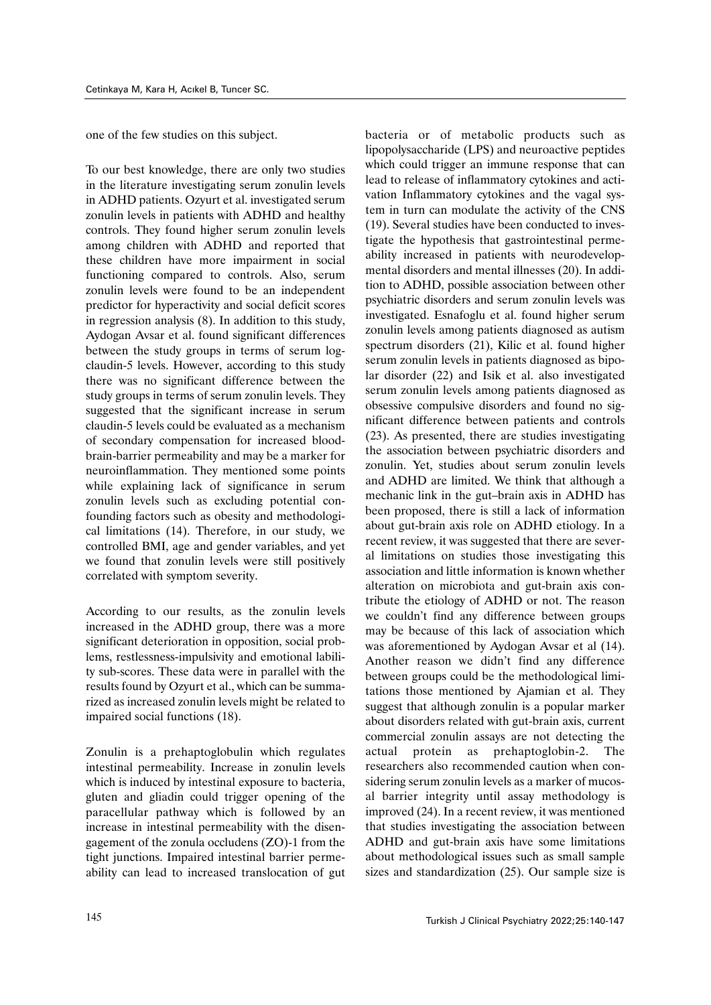one of the few studies on this subject.

To our best knowledge, there are only two studies in the literature investigating serum zonulin levels in ADHD patients. Ozyurt et al. investigated serum zonulin levels in patients with ADHD and healthy controls. They found higher serum zonulin levels among children with ADHD and reported that these children have more impairment in social functioning compared to controls. Also, serum zonulin levels were found to be an independent predictor for hyperactivity and social deficit scores in regression analysis (8). In addition to this study, Aydogan Avsar et al. found significant differences between the study groups in terms of serum logclaudin-5 levels. However, according to this study there was no significant difference between the study groups in terms of serum zonulin levels. They suggested that the significant increase in serum claudin-5 levels could be evaluated as a mechanism of secondary compensation for increased bloodbrain-barrier permeability and may be a marker for neuroinflammation. They mentioned some points while explaining lack of significance in serum zonulin levels such as excluding potential confounding factors such as obesity and methodological limitations (14). Therefore, in our study, we controlled BMI, age and gender variables, and yet we found that zonulin levels were still positively correlated with symptom severity.

According to our results, as the zonulin levels increased in the ADHD group, there was a more significant deterioration in opposition, social problems, restlessness-impulsivity and emotional lability sub-scores. These data were in parallel with the results found by Ozyurt et al., which can be summarized as increased zonulin levels might be related to impaired social functions (18).

Zonulin is a prehaptoglobulin which regulates intestinal permeability. Increase in zonulin levels which is induced by intestinal exposure to bacteria, gluten and gliadin could trigger opening of the paracellular pathway which is followed by an increase in intestinal permeability with the disengagement of the zonula occludens (ZO)-1 from the tight junctions. Impaired intestinal barrier permeability can lead to increased translocation of gut bacteria or of metabolic products such as lipopolysaccharide (LPS) and neuroactive peptides which could trigger an immune response that can lead to release of inflammatory cytokines and activation Inflammatory cytokines and the vagal system in turn can modulate the activity of the CNS (19). Several studies have been conducted to investigate the hypothesis that gastrointestinal permeability increased in patients with neurodevelopmental disorders and mental illnesses (20). In addition to ADHD, possible association between other psychiatric disorders and serum zonulin levels was investigated. Esnafoglu et al. found higher serum zonulin levels among patients diagnosed as autism spectrum disorders (21), Kilic et al. found higher serum zonulin levels in patients diagnosed as bipolar disorder (22) and Isik et al. also investigated serum zonulin levels among patients diagnosed as obsessive compulsive disorders and found no significant difference between patients and controls (23). As presented, there are studies investigating the association between psychiatric disorders and zonulin. Yet, studies about serum zonulin levels and ADHD are limited. We think that although a mechanic link in the gut–brain axis in ADHD has been proposed, there is still a lack of information about gut-brain axis role on ADHD etiology. In a recent review, it was suggested that there are several limitations on studies those investigating this association and little information is known whether alteration on microbiota and gut-brain axis contribute the etiology of ADHD or not. The reason we couldn't find any difference between groups may be because of this lack of association which was aforementioned by Aydogan Avsar et al (14). Another reason we didn't find any difference between groups could be the methodological limitations those mentioned by Ajamian et al. They suggest that although zonulin is a popular marker about disorders related with gut-brain axis, current commercial zonulin assays are not detecting the actual protein as prehaptoglobin-2. The researchers also recommended caution when considering serum zonulin levels as a marker of mucosal barrier integrity until assay methodology is improved (24). In a recent review, it was mentioned that studies investigating the association between ADHD and gut-brain axis have some limitations about methodological issues such as small sample sizes and standardization (25). Our sample size is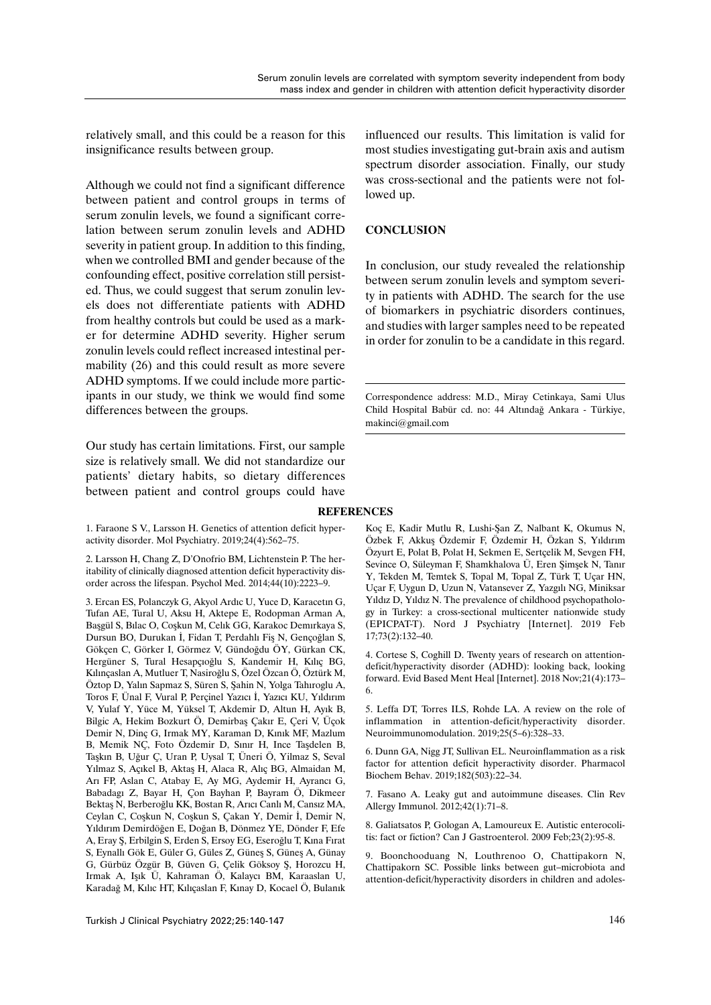relatively small, and this could be a reason for this insignificance results between group.

Although we could not find a significant difference between patient and control groups in terms of serum zonulin levels, we found a significant correlation between serum zonulin levels and ADHD severity in patient group. In addition to this finding, when we controlled BMI and gender because of the confounding effect, positive correlation still persisted. Thus, we could suggest that serum zonulin levels does not differentiate patients with ADHD from healthy controls but could be used as a marker for determine ADHD severity. Higher serum zonulin levels could reflect increased intestinal permability (26) and this could result as more severe ADHD symptoms. If we could include more participants in our study, we think we would find some differences between the groups.

Our study has certain limitations. First, our sample size is relatively small. We did not standardize our patients' dietary habits, so dietary differences between patient and control groups could have

1. Faraone S V., Larsson H. Genetics of attention deficit hyperactivity disorder. Mol Psychiatry. 2019;24(4):562–75.

2. Larsson H, Chang Z, D'Onofrio BM, Lichtenstein P. The heritability of clinically diagnosed attention deficit hyperactivity disorder across the lifespan. Psychol Med. 2014;44(10):2223–9.

3. Ercan ES, Polanczyk G, Akyol Ardıc U, Yuce D, Karacetın G, Tufan AE, Tural U, Aksu H, Aktepe E, Rodopman Arman A, Başgül S, Bılac O, Coşkun M, Celık GG, Karakoc Demırkaya S, Dursun BO, Durukan İ, Fidan T, Perdahlı Fiş N, Gençoğlan S, Gökçen C, Görker I, Görmez V, Gündoğdu ÖY, Gürkan CK, Hergüner S, Tural Hesapçıoğlu S, Kandemir H, Kılıç BG, Kılınçaslan A, Mutluer T, Nasiroğlu S, Özel Özcan Ö, Öztürk M, Öztop D, Yalın Sapmaz S, Süren S, Şahin N, Yolga Tahıroglu A, Toros F, Ünal F, Vural P, Perçinel Yazıcı İ, Yazıcı KU, Yıldırım V, Yulaf Y, Yüce M, Yüksel T, Akdemir D, Altun H, Ayık B, Bilgic A, Hekim Bozkurt Ö, Demirbaş Çakır E, Çeri V, Üçok Demir N, Dinç G, Irmak MY, Karaman D, Kınık MF, Mazlum B, Memik NÇ, Foto Özdemir D, Sınır H, Ince Taşdelen B, Taşkın B, Uğur Ç, Uran P, Uysal T, Üneri Ö, Yilmaz S, Seval Yılmaz S, Açıkel B, Aktaş H, Alaca R, Alıç BG, Almaidan M, Arı FP, Aslan C, Atabay E, Ay MG, Aydemir H, Ayrancı G, Babadagı Z, Bayar H, Çon Bayhan P, Bayram Ö, Dikmeer Bektaş N, Berberoğlu KK, Bostan R, Arıcı Canlı M, Cansız MA, Ceylan C, Coşkun N, Coşkun S, Çakan Y, Demir İ, Demir N, Yıldırım Demirdöğen E, Doğan B, Dönmez YE, Dönder F, Efe A, Eray Ş, Erbilgin S, Erden S, Ersoy EG, Eseroğlu T, Kına Fırat S, Eynallı Gök E, Güler G, Güles Z, Güneş S, Güneş A, Günay G, Gürbüz Özgür B, Güven G, Çelik Göksoy Ş, Horozcu H, Irmak A, Işık Ü, Kahraman Ö, Kalaycı BM, Karaaslan U, Karadağ M, Kılıc HT, Kılıçaslan F, Kınay D, Kocael Ö, Bulanık

influenced our results. This limitation is valid for most studies investigating gut-brain axis and autism spectrum disorder association. Finally, our study was cross-sectional and the patients were not followed up.

## **CONCLUSION**

In conclusion, our study revealed the relationship between serum zonulin levels and symptom severity in patients with ADHD. The search for the use of biomarkers in psychiatric disorders continues, and studies with larger samples need to be repeated in order for zonulin to be a candidate in this regard.

Correspondence address: M.D., Miray Cetinkaya, Sami Ulus Child Hospital Babür cd. no: 44 Altındağ Ankara - Türkiye, makinci@gmail.com

### **REFERENCES**

Koç E, Kadir Mutlu R, Lushi-Şan Z, Nalbant K, Okumus N, Özbek F, Akkuş Özdemir F, Özdemir H, Özkan S, Yıldırım Özyurt E, Polat B, Polat H, Sekmen E, Sertçelik M, Sevgen FH, Sevince O, Süleyman F, Shamkhalova Ü, Eren Şimşek N, Tanır Y, Tekden M, Temtek S, Topal M, Topal Z, Türk T, Uçar HN, Uçar F, Uygun D, Uzun N, Vatansever Z, Yazgılı NG, Miniksar Yıldız D, Yıldız N. The prevalence of childhood psychopathology in Turkey: a cross-sectional multicenter nationwide study (EPICPAT-T). Nord J Psychiatry [Internet]. 2019 Feb 17;73(2):132–40.

4. Cortese S, Coghill D. Twenty years of research on attentiondeficit/hyperactivity disorder (ADHD): looking back, looking forward. Evid Based Ment Heal [Internet]. 2018 Nov;21(4):173– 6.

5. Leffa DT, Torres ILS, Rohde LA. A review on the role of inflammation in attention-deficit/hyperactivity disorder. Neuroimmunomodulation. 2019;25(5–6):328–33.

6. Dunn GA, Nigg JT, Sullivan EL. Neuroinflammation as a risk factor for attention deficit hyperactivity disorder. Pharmacol Biochem Behav. 2019;182(503):22–34.

7. Fasano A. Leaky gut and autoimmune diseases. Clin Rev Allergy Immunol. 2012;42(1):71–8.

8. Galiatsatos P, Gologan A, Lamoureux E. Autistic enterocolitis: fact or fiction? Can J Gastroenterol. 2009 Feb;23(2):95-8.

9. Boonchooduang N, Louthrenoo O, Chattipakorn N, Chattipakorn SC. Possible links between gut–microbiota and attention-deficit/hyperactivity disorders in children and adoles